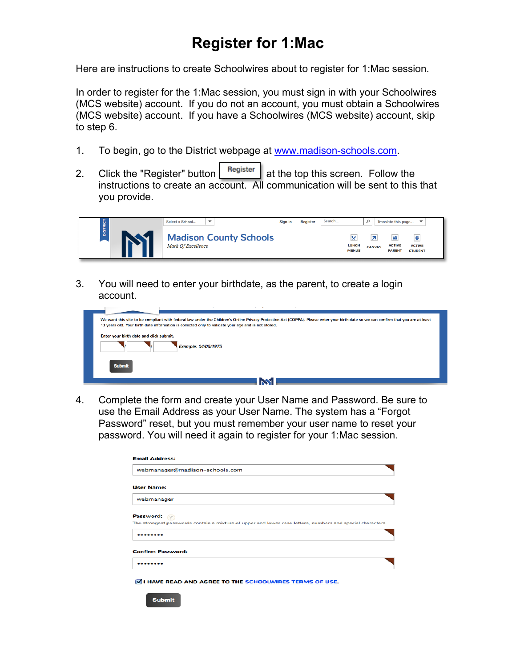## **Register for 1:Mac**

Here are instructions to create Schoolwires about to register for 1:Mac session.

In order to register for the 1:Mac session, you must sign in with your Schoolwires (MCS website) account. If you do not an account, you must obtain a Schoolwires (MCS website) account. If you have a Schoolwires (MCS website) account, skip to step 6.

- 1. To begin, go to the District webpage at www.madison-schools.com.
- 2. Click the "Register" button  $\frac{1}{2}$  Register  $\frac{1}{2}$  at the top this screen. Follow the instructions to create an account. All communication will be sent to this that you provide.



3. You will need to enter your birthdate, as the parent, to create a login account.



4. Complete the form and create your User Name and Password. Be sure to use the Email Address as your User Name. The system has a "Forgot Password" reset, but you must remember your user name to reset your password. You will need it again to register for your 1:Mac session.

| <b>Email Address:</b>    |                                                                                                            |
|--------------------------|------------------------------------------------------------------------------------------------------------|
|                          | webmanager@madison-schools.com                                                                             |
| <b>User Name:</b>        |                                                                                                            |
| webmanager               |                                                                                                            |
| Password:                | The strongest passwords contain a mixture of upper and lower case letters, numbers and special characters. |
|                          |                                                                                                            |
|                          |                                                                                                            |
| <b>Confirm Password:</b> |                                                                                                            |

I HAVE READ AND AGREE TO THE **SCHOOLWIRES TERMS OF USE**.